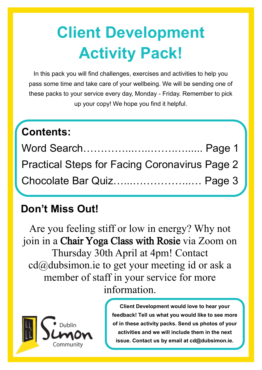# **Client Development Activity Pack!**

In this pack you will find challenges, exercises and activities to help you pass some time and take care of your wellbeing. We will be sending one of these packs to your service every day, Monday - Friday. Remember to pick up your copy! We hope you find it helpful.

## **Contents:**

| <b>Practical Steps for Facing Coronavirus Page 2</b> |  |
|------------------------------------------------------|--|
| Chocolate Bar Quiz Page 3                            |  |

## **Don't Miss Out!**

Are you feeling stiff or low in energy? Why not join in a Chair Yoga Class with Rosie via Zoom on Thursday 30th April at 4pm! Contact cd@dubsimon.ie to get your meeting id or ask a member of staff in your service for more information.



**Client Development would love to hear your feedback! Tell us what you would like to see more of in these activity packs. Send us photos of your activities and we will include them in the next issue. Contact us by email at cd@dubsimon.ie.**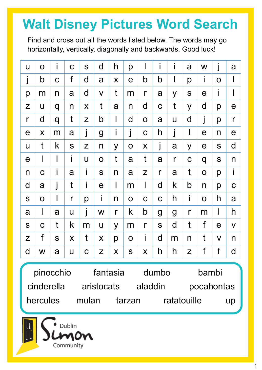## **Walt Disney Pictures Word Search**

Find and cross out all the words listed below. The words may go horizontally, vertically, diagonally and backwards. Good luck!

| U            | $\overline{O}$ | İ           | $\mathbf C$ | S            | d              | h            | p           | $\mathsf I$      | İ                | İ              | a             | W                     | j            | a            |
|--------------|----------------|-------------|-------------|--------------|----------------|--------------|-------------|------------------|------------------|----------------|---------------|-----------------------|--------------|--------------|
| j            | b              | $\mathbf C$ | f           | $\mathsf{d}$ | a              | X            | $\mathbf e$ | b                | b                | $\mathbf l$    | p             | i.                    | $\mathbf O$  |              |
| p            | m              | n           | a           | d            | $\mathsf{V}$   | t            | m           | $\mathsf{r}$     | a                | y              | S             | $\mathbf e$           | i            | I            |
| Z            | $\mathsf{U}$   | q           | n           | X            | t              | a            | n           | $\mathsf{d}$     | $\mathbf C$      | t              | y             | d                     | p            | $\mathbf e$  |
| $\mathsf{r}$ | d              | q           | t           | Z            | b              | $\mathbf l$  | d           | $\mathsf O$      | a                | U              | $\mathsf{d}$  | j                     | p            | $\mathsf{r}$ |
| $\mathbf e$  | X              | m           | a           | j            | $\overline{g}$ | İ            | j           | $\mathbf C$      | h                | j              | $\mathsf I$   | $\boldsymbol{\theta}$ | $\mathsf{n}$ | $\mathbf e$  |
| U            | t              | k           | S           | Z            | n              | y            | $\mathbf 0$ | $\boldsymbol{X}$ | j                | a              | y             | $\mathbf e$           | S            | d            |
| $\mathbf e$  | l              | $\mathsf I$ | İ           | U            | $\mathbf O$    | t            | a           | t                | a                | $\mathsf{r}$   | $\mathbf C$   | q                     | S            | n            |
| n            | $\mathbf C$    | i           | a           | İ            | S              | n            | a           | Z                | $\mathsf{r}$     | a              | $\mathfrak t$ | $\mathbf O$           | p            | İ            |
| d            | a              | j           | t           | İ            | $\mathbf e$    | $\mathsf{l}$ | m           | $\mathsf{I}$     | d                | k              | b             | n                     | p            | $\mathbf C$  |
| S            | $\mathbf O$    | $\mathsf I$ | $\mathsf r$ | p            | İ              | n            | $\mathbf O$ | $\mathbf C$      | $\mathbf C$      | h              | İ             | $\mathbf O$           | h            | a            |
| a            | $\mathbf l$    | a           | U           | j            | W              | $\mathsf{r}$ | k           | b                | $\boldsymbol{g}$ | $\overline{g}$ | $\mathsf{r}$  | m                     | $\mathsf I$  | h            |
| S            | $\mathbf C$    | t           | k           | m            | $\sf U$        | y            | m           | $\mathsf{r}$     | S                | d              | t             | f                     | $\mathbf e$  | $\mathsf{V}$ |
| Z            | f              | S           | X           | t            | X              | p            | $\mathbf O$ | İ.               | $\mathsf{d}$     | m              | n             | t                     | $\mathsf{V}$ | n            |
| d            | W              | a           | U           | $\mathbf C$  | Z              | X            | S           | X                | h                | h              | Z             | $\mathsf f$           | $\mathsf f$  | d            |
|              |                |             |             |              |                |              |             |                  |                  |                |               |                       |              |              |

pinocchio fantasia dumbo bambi cinderella aristocats aladdin pocahontas hercules mulan tarzan ratatouille up

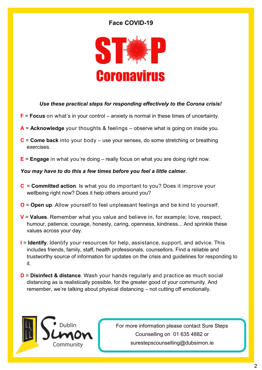#### **Face COVID-19**



#### *Use these practical steps for responding effectively to the Corona crisis!*

- **F** = **Focus** on what's in your control anxiety is normal in these times of uncertainty.
- **A** = **Acknowledge** your thoughts & feelings observe what is going on inside you.
- **C** = **Come back** into your body use your senses, do some stretching or breathing exercises.
- **E** = **Engage** in what you're doing really focus on what you are doing right now.

#### *You may have to do this a few times before you feel a little calmer.*

- **C** = **Committed action**. Is what you do important to you? Does it improve your wellbeing right now? Does it help others around you?
- **O** = **Open up**. Allow yourself to feel unpleasant feelings and be kind to yourself.
- **V** = **Values**. Remember what you value and believe in, for example; love, respect, humour, patience, courage, honesty, caring, openness, kindness... And sprinkle these values across your day.
- **I** = **Identify**. Identify your resources for help, assistance, support, and advice. This includes friends, family, staff, health professionals, counsellors. Find a reliable and trustworthy source of information for updates on the crisis and guidelines for responding to it.
- **D** = **Disinfect & distance**. Wash your hands regularly and practice as much social distancing as is realistically possible, for the greater good of your community. And remember, we're talking about physical distancing – not cutting off emotionally.



For more information please contact Sure Steps Counselling on 01 635 4882 or surestepscounselling@dubsimon.ie